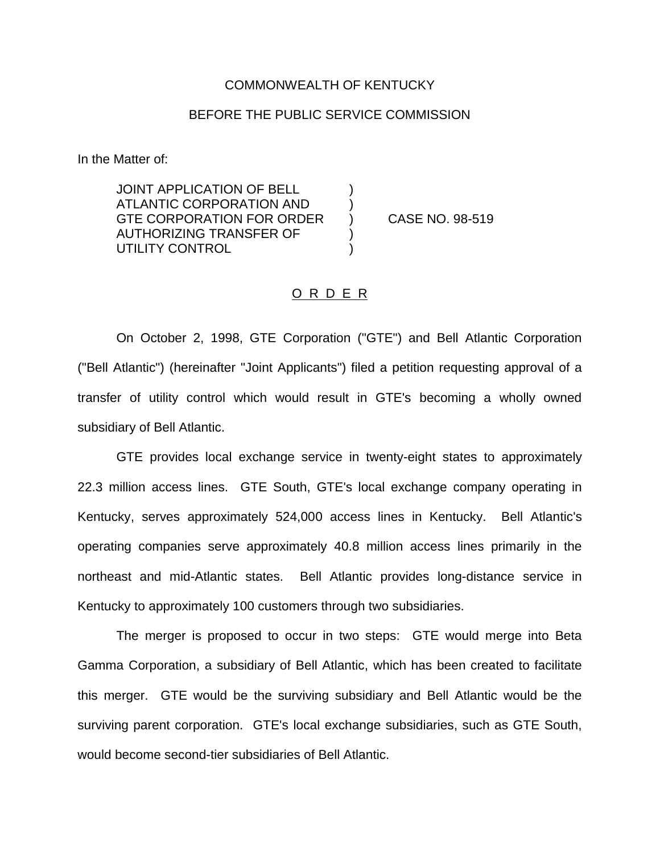## COMMONWEALTH OF KENTUCKY

## BEFORE THE PUBLIC SERVICE COMMISSION

In the Matter of:

JOINT APPLICATION OF BELL ATLANTIC CORPORATION AND ) GTE CORPORATION FOR ORDER ) CASE NO. 98-519 AUTHORIZING TRANSFER OF ) UTILITY CONTROL

## O R D E R

On October 2, 1998, GTE Corporation ("GTE") and Bell Atlantic Corporation ("Bell Atlantic") (hereinafter "Joint Applicants") filed a petition requesting approval of a transfer of utility control which would result in GTE's becoming a wholly owned subsidiary of Bell Atlantic.

GTE provides local exchange service in twenty-eight states to approximately 22.3 million access lines. GTE South, GTE's local exchange company operating in Kentucky, serves approximately 524,000 access lines in Kentucky. Bell Atlantic's operating companies serve approximately 40.8 million access lines primarily in the northeast and mid-Atlantic states. Bell Atlantic provides long-distance service in Kentucky to approximately 100 customers through two subsidiaries.

The merger is proposed to occur in two steps: GTE would merge into Beta Gamma Corporation, a subsidiary of Bell Atlantic, which has been created to facilitate this merger. GTE would be the surviving subsidiary and Bell Atlantic would be the surviving parent corporation. GTE's local exchange subsidiaries, such as GTE South, would become second-tier subsidiaries of Bell Atlantic.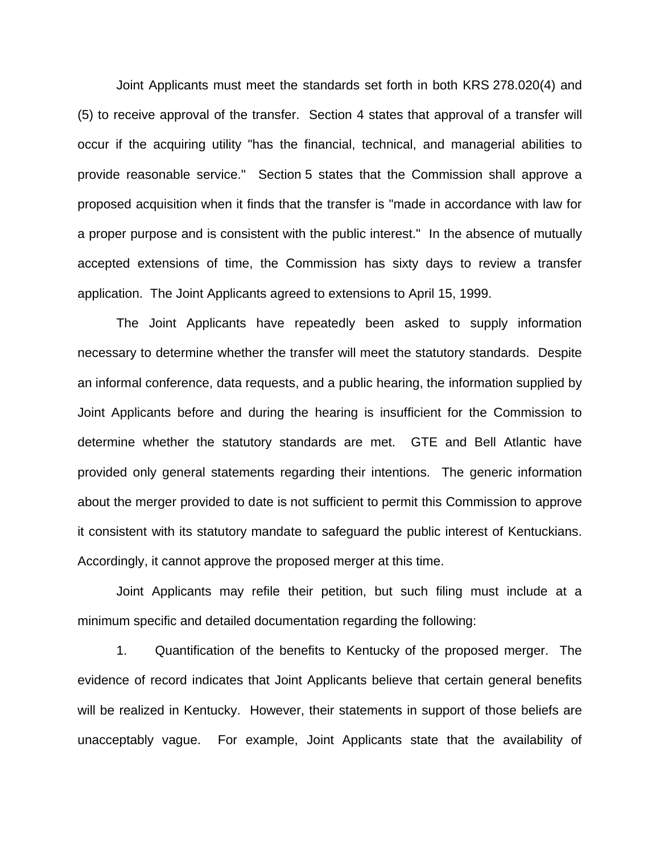Joint Applicants must meet the standards set forth in both KRS 278.020(4) and (5) to receive approval of the transfer. Section 4 states that approval of a transfer will occur if the acquiring utility "has the financial, technical, and managerial abilities to provide reasonable service." Section 5 states that the Commission shall approve a proposed acquisition when it finds that the transfer is "made in accordance with law for a proper purpose and is consistent with the public interest." In the absence of mutually accepted extensions of time, the Commission has sixty days to review a transfer application. The Joint Applicants agreed to extensions to April 15, 1999.

The Joint Applicants have repeatedly been asked to supply information necessary to determine whether the transfer will meet the statutory standards. Despite an informal conference, data requests, and a public hearing, the information supplied by Joint Applicants before and during the hearing is insufficient for the Commission to determine whether the statutory standards are met. GTE and Bell Atlantic have provided only general statements regarding their intentions. The generic information about the merger provided to date is not sufficient to permit this Commission to approve it consistent with its statutory mandate to safeguard the public interest of Kentuckians. Accordingly, it cannot approve the proposed merger at this time.

Joint Applicants may refile their petition, but such filing must include at a minimum specific and detailed documentation regarding the following:

1. Quantification of the benefits to Kentucky of the proposed merger. The evidence of record indicates that Joint Applicants believe that certain general benefits will be realized in Kentucky. However, their statements in support of those beliefs are unacceptably vague. For example, Joint Applicants state that the availability of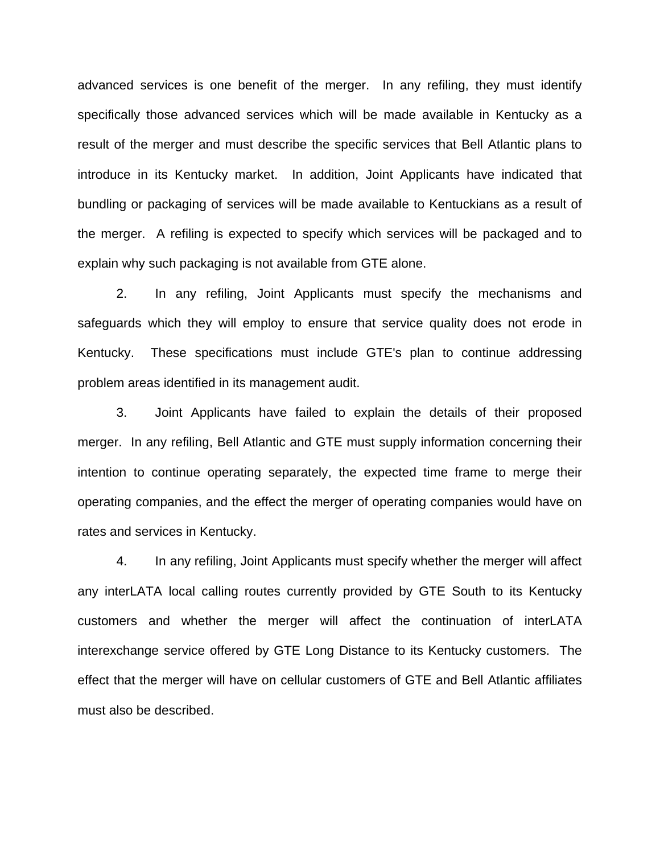advanced services is one benefit of the merger. In any refiling, they must identify specifically those advanced services which will be made available in Kentucky as a result of the merger and must describe the specific services that Bell Atlantic plans to introduce in its Kentucky market. In addition, Joint Applicants have indicated that bundling or packaging of services will be made available to Kentuckians as a result of the merger. A refiling is expected to specify which services will be packaged and to explain why such packaging is not available from GTE alone.

2. In any refiling, Joint Applicants must specify the mechanisms and safeguards which they will employ to ensure that service quality does not erode in Kentucky. These specifications must include GTE's plan to continue addressing problem areas identified in its management audit.

3. Joint Applicants have failed to explain the details of their proposed merger. In any refiling, Bell Atlantic and GTE must supply information concerning their intention to continue operating separately, the expected time frame to merge their operating companies, and the effect the merger of operating companies would have on rates and services in Kentucky.

4. In any refiling, Joint Applicants must specify whether the merger will affect any interLATA local calling routes currently provided by GTE South to its Kentucky customers and whether the merger will affect the continuation of interLATA interexchange service offered by GTE Long Distance to its Kentucky customers. The effect that the merger will have on cellular customers of GTE and Bell Atlantic affiliates must also be described.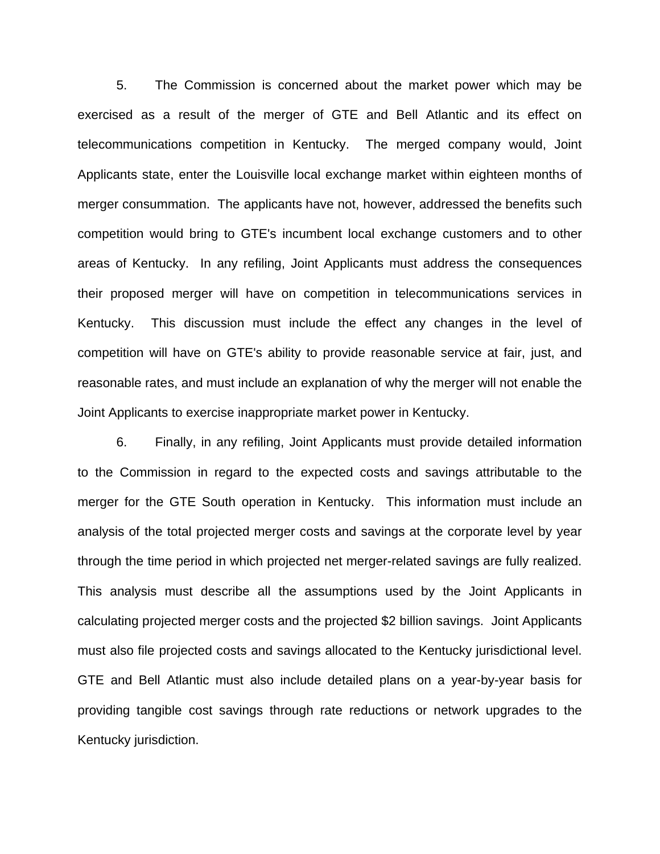5. The Commission is concerned about the market power which may be exercised as a result of the merger of GTE and Bell Atlantic and its effect on telecommunications competition in Kentucky. The merged company would, Joint Applicants state, enter the Louisville local exchange market within eighteen months of merger consummation. The applicants have not, however, addressed the benefits such competition would bring to GTE's incumbent local exchange customers and to other areas of Kentucky. In any refiling, Joint Applicants must address the consequences their proposed merger will have on competition in telecommunications services in Kentucky. This discussion must include the effect any changes in the level of competition will have on GTE's ability to provide reasonable service at fair, just, and reasonable rates, and must include an explanation of why the merger will not enable the Joint Applicants to exercise inappropriate market power in Kentucky.

6. Finally, in any refiling, Joint Applicants must provide detailed information to the Commission in regard to the expected costs and savings attributable to the merger for the GTE South operation in Kentucky. This information must include an analysis of the total projected merger costs and savings at the corporate level by year through the time period in which projected net merger-related savings are fully realized. This analysis must describe all the assumptions used by the Joint Applicants in calculating projected merger costs and the projected \$2 billion savings. Joint Applicants must also file projected costs and savings allocated to the Kentucky jurisdictional level. GTE and Bell Atlantic must also include detailed plans on a year-by-year basis for providing tangible cost savings through rate reductions or network upgrades to the Kentucky jurisdiction.